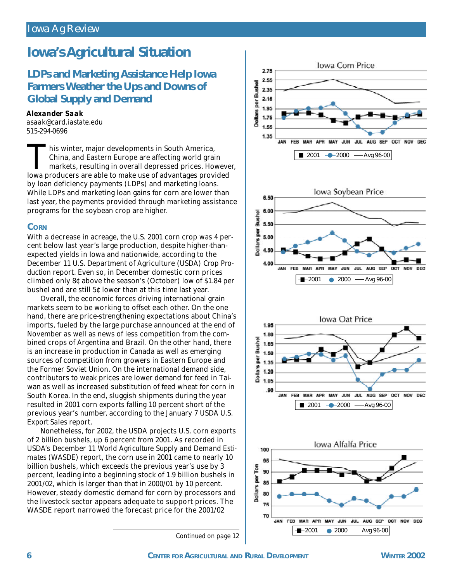# **Iowa's Agricultural Situation**

### *LDPs and Marketing Assistance Help Iowa Farmers Weather the Ups and Downs of Global Supply and Demand*

### *Alexander Saak*

*asaak@card.iastate.edu 515-294-0696*

This winter, major developments in South America,<br>China, and Eastern Europe are affecting world grain<br>markets, resulting in overall depressed prices. Howeve<br>lowa producers are able to make use of advantages provided his winter, major developments in South America, China, and Eastern Europe are affecting world grain markets, resulting in overall depressed prices. However, by loan deficiency payments (LDPs) and marketing loans. While LDPs and marketing loan gains for corn are lower than last year, the payments provided through marketing assistance programs for the soybean crop are higher.

#### **CORN**

With a decrease in acreage, the U.S. 2001 corn crop was 4 percent below last year's large production, despite higher-thanexpected yields in Iowa and nationwide, according to the December 11 U.S. Department of Agriculture (USDA) *Crop Production* report. Even so, in December domestic corn prices climbed only 8¢ above the season's (October) low of \$1.84 per bushel and are still 5¢ lower than at this time last year.

Overall, the economic forces driving international grain markets seem to be working to offset each other. On the one hand, there are price-strengthening expectations about China's imports, fueled by the large purchase announced at the end of November as well as news of less competition from the combined crops of Argentina and Brazil. On the other hand, there is an increase in production in Canada as well as emerging sources of competition from growers in Eastern Europe and the Former Soviet Union. On the international demand side, contributors to weak prices are lower demand for feed in Taiwan as well as increased substitution of feed wheat for corn in South Korea. In the end, sluggish shipments during the year resulted in 2001 corn exports falling 10 percent short of the previous year's number, according to the January 7 USDA *U.S. Export Sales* report.

Nonetheless, for 2002, the USDA projects U.S. corn exports of 2 billion bushels, up 6 percent from 2001. As recorded in USDA's December 11 *World Agriculture Supply and Demand Estimates* (WASDE) report, the corn use in 2001 came to nearly 10 billion bushels, which exceeds the previous year's use by 3 percent, leading into a beginning stock of 1.9 billion bushels in 2001/02, which is larger than that in 2000/01 by 10 percent. However, steady domestic demand for corn by processors and the livestock sector appears adequate to support prices. The WASDE report narrowed the forecast price for the 2001/02

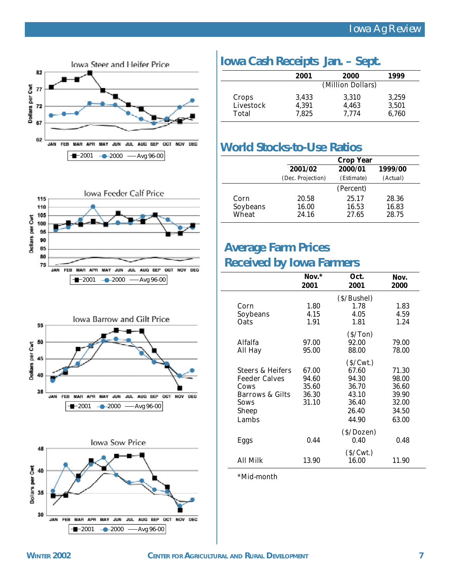







## **Iowa Cash Receipts Jan. – Sept.**

|           | 2001              | 2000  | 1999  |  |  |
|-----------|-------------------|-------|-------|--|--|
|           | (Million Dollars) |       |       |  |  |
| Crops     | 3,433             | 3,310 | 3,259 |  |  |
| Livestock | 4,391             | 4,463 | 3,501 |  |  |
| Total     | 7.825             | 7.774 | 6,760 |  |  |

### **World Stocks-to-Use Ratios**

|          | <b>Crop Year</b>  |            |          |
|----------|-------------------|------------|----------|
|          | 2001/02           | 2000/01    | 1999/00  |
|          | (Dec. Projection) | (Estimate) | (Actual) |
|          |                   | (Percent)  |          |
| Corn     | 20.58             | 25.17      | 28.36    |
| Soybeans | 16.00             | 16.53      | 16.83    |
| Wȟeat    | 24.16             | 27.65      | 28.75    |

## **Average Farm Prices**

### **Received by Iowa Farmers**

|                             | $Now.*$<br>2001 | Oct.<br>2001 | Nov.<br>2000 |
|-----------------------------|-----------------|--------------|--------------|
|                             |                 |              |              |
|                             |                 | (S/Bushel)   |              |
| Corn                        | 1.80            | 1.78         | 1.83         |
| Soybeans                    | 4.15            | 4.05         | 4.59         |
| <b>Oats</b>                 | 1.91            | 1.81         | 1.24         |
|                             |                 | (S/Ton)      |              |
| <b>Alfalfa</b>              | 97.00           | 92.00        | 79.00        |
| All Hay                     | 95.00           | 88.00        | 78.00        |
|                             |                 | (S/Cwt.)     |              |
| <b>Steers &amp; Heifers</b> | 67.00           | 67.60        | 71.30        |
| <b>Feeder Calves</b>        | 94.60           | 94.30        | 98.00        |
| Cows                        | 35.60           | 36.70        | 36.60        |
| <b>Barrows &amp; Gilts</b>  | 36.30           | 43.10        | 39.90        |
| Sows                        | 31.10           | 36.40        | 32.00        |
| <b>Sheep</b>                |                 | 26.40        | 34.50        |
| Lambs                       |                 | 44.90        | 63.00        |
|                             |                 | (S/Dozen)    |              |
| Eggs                        | 0.44            | 0.40         | 0.48         |
|                             |                 | (S/Cwt.)     |              |
| All Milk                    | 13.90           | 16.00        | 11.90        |

\*Mid-month